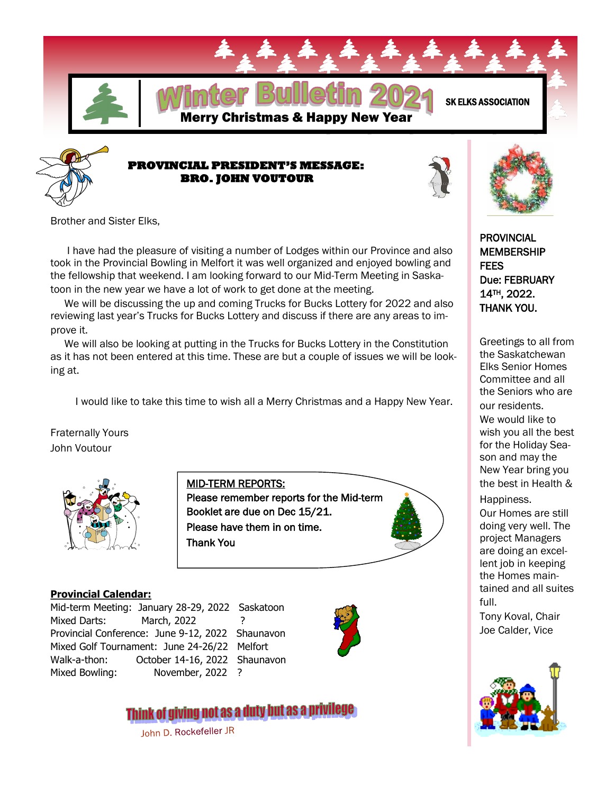



## **PROVINCIAL PRESIDENT'S MESSAGE: BRO. JOHN VOUTOUR**



Brother and Sister Elks,

 I have had the pleasure of visiting a number of Lodges within our Province and also took in the Provincial Bowling in Melfort it was well organized and enjoyed bowling and the fellowship that weekend. I am looking forward to our Mid-Term Meeting in Saskatoon in the new year we have a lot of work to get done at the meeting.

 We will be discussing the up and coming Trucks for Bucks Lottery for 2022 and also reviewing last year's Trucks for Bucks Lottery and discuss if there are any areas to improve it.

 We will also be looking at putting in the Trucks for Bucks Lottery in the Constitution as it has not been entered at this time. These are but a couple of issues we will be looking at.

MID-TERM REPORTS:

Thank You

I would like to take this time to wish all a Merry Christmas and a Happy New Year.

Booklet are due on Dec 15/21. Please have them in on time.

Please remember reports for the Mid-term

Fraternally Yours John Voutour



## **Provincial Calendar:**

Mid-term Meeting: January 28-29, 2022 Saskatoon Mixed Darts: March, 2022 Provincial Conference: June 9-12, 2022 Shaunavon Mixed Golf Tournament: June 24-26/22 Melfort Walk-a-thon: October 14-16, 2022 Shaunavon Mixed Bowling: November, 2022 ?



# Think of giving not as a duty but as a privilege

John D. Rockefeller JR

PROVINCIAL MEMBERSHIP **FFFS** Due: FEBRUARY 14TH, 2022. THANK YOU.

Greetings to all from the Saskatchewan Elks Senior Homes Committee and all the Seniors who are our residents. We would like to wish you all the best for the Holiday Season and may the New Year bring you the best in Health & Happiness.

Our Homes are still doing very well. The project Managers are doing an excellent job in keeping the Homes maintained and all suites full.

Tony Koval, Chair Joe Calder, Vice

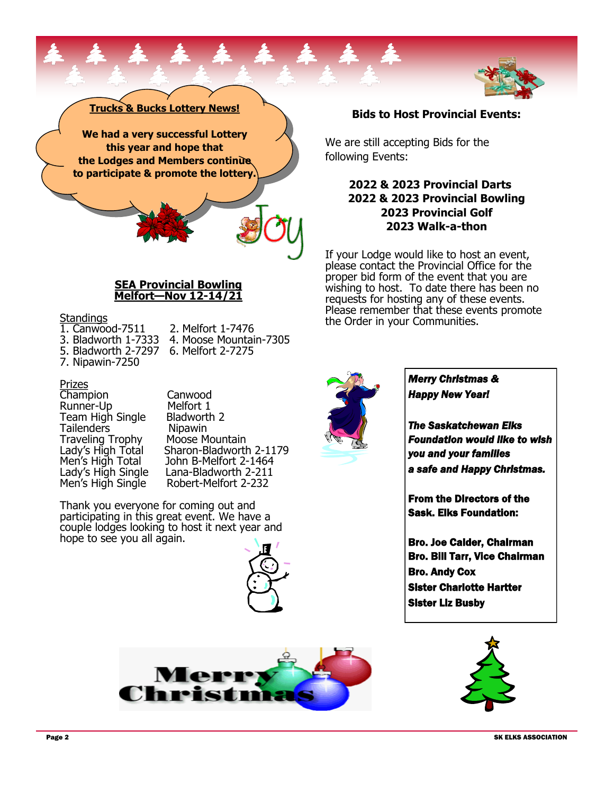#### **to participate & promote the lottery.**

#### **SEA Provincial Bowling Melfort—Nov 12-14/21**

#### **Standings**

1. Canwood-7511 2. Melfort 1-7476<br>3. Bladworth 1-7333 4. Moose Mountai

**Trucks & Bucks Lottery News!**

**We had a very successful Lottery this year and hope that the Lodges and Members continue** 

- 
- 4. Moose Mountain-7305<br>6. Melfort 2-7275 5. Bladworth 2-7297
- 7. Nipawin-7250

#### Prizes

Champion Canwood<br>Runner-Up Melfort 1 Runner-Up Melfort 1<br>Team High Single Bladworth 2 Team High Single Tailenders Nipawin Traveling Trophy Moose Mountain<br>Lady's High Total Sharon-Bladworth

Sharon-Bladworth 2-1179 Men's High Total John B-Melfort 2-1464<br>Lady's High Single Lana-Bladworth 2-211 Lady's High Single Lana-Bladworth 2-211 Robert-Melfort 2-232

Thank you everyone for coming out and participating in this great event. We have a couple lodges looking to host it next year and hope to see you all again.





### **Bids to Host Provincial Events:**

We are still accepting Bids for the following Events:

## **2022 & 2023 Provincial Darts 2022 & 2023 Provincial Bowling 2023 Provincial Golf 2023 Walk-a-thon**

If your Lodge would like to host an event, please contact the Provincial Office for the proper bid form of the event that you are wishing to host. To date there has been no requests for hosting any of these events. Please remember that these events promote the Order in your Communities.



*Merry Christmas & Happy New Year!* 

*The Saskatchewan Elks Foundation would like to wish you and your families a safe and Happy Christmas.* 

From the Directors of the Sask. Elks Foundation:

Bro. Joe Calder, Chairman Bro. Bill Tarr, Vice Chairman Bro. Andy Cox Sister Charlotte Hartter Sister Liz Busby